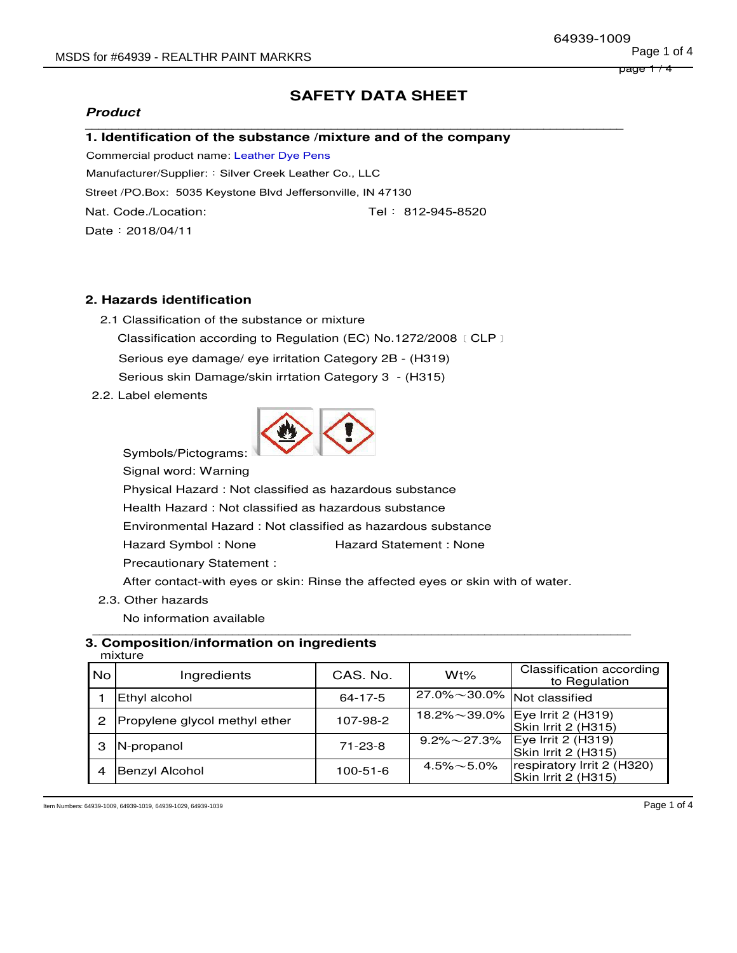## **Product**

# **SAFETY DATA SHEET**

#### **\_\_\_\_\_\_\_\_\_\_\_\_\_\_\_\_\_\_\_\_\_\_\_\_\_\_\_\_\_\_\_\_\_\_\_\_\_\_\_\_\_\_\_\_\_\_\_\_\_\_\_\_\_\_\_\_\_\_\_\_\_\_\_\_\_\_\_\_\_\_\_\_\_\_\_\_\_\_\_\_\_ 1. Identification of the substance /mixture and of the company**

Commercial product name: Leather Dye Pens

Manufacturer/Supplier: : Silver Creek Leather Co., LLC

Street /PO.Box: 5035 Keystone Blvd Jeffersonville, IN 47130

Nat. Code./Location: Tel: 812-945-8520

Date:2018/04/11

## **2. Hazards identification**

- 2.1 Classification of the substance or mixture Classification according to Regulation (EC) No.1272/2008﹝CLP﹞ Serious eye damage/ eye irritation Category 2B - (H319) Serious skin Damage/skin irrtation Category 3 - (H315)
- 2.2. Label elements



Symbols/Pictograms:

Signal word: Warning

 Physical Hazard : Not classified as hazardous substance Health Hazard : Not classified as hazardous substance Environmental Hazard : Not classified as hazardous substance Hazard Symbol : None Hazard Statement : None Precautionary Statement :

After contact-with eyes or skin: Rinse the affected eyes or skin with of water.

2.3. Other hazards

 No information available  **\_\_\_\_\_\_\_\_\_\_\_\_\_\_\_\_\_\_\_\_\_\_\_\_\_\_\_\_\_\_\_\_\_\_\_\_\_\_\_\_\_\_\_\_\_\_\_\_\_\_\_\_\_\_\_\_\_\_\_\_\_\_\_\_\_\_\_\_\_\_\_\_\_\_\_\_\_\_\_\_\_**

#### **3. Composition/information on ingredients** mixture

|      | .                             |               |                      |                                                   |  |  |
|------|-------------------------------|---------------|----------------------|---------------------------------------------------|--|--|
| i No | Ingredients                   | CAS, No.      | $Wt\%$               | <b>Classification according</b><br>to Regulation  |  |  |
|      | Ethyl alcohol                 | $64 - 17 - 5$ | $27.0\% \sim 30.0\%$ | Not classified                                    |  |  |
| 2    | Propylene glycol methyl ether | 107-98-2      | $18.2\% \sim 39.0\%$ | Eye Irrit 2 (H319)<br>Skin Irrit 2 (H315)         |  |  |
|      | N-propanol                    | $71 - 23 - 8$ | $9.2\% \sim 27.3\%$  | Eye Irrit 2 (H319)<br>Skin Irrit 2 (H315)         |  |  |
|      | Benzyl Alcohol                | 100-51-6      | $4.5\% \sim 5.0\%$   | respiratory Irrit 2 (H320)<br>Skin Irrit 2 (H315) |  |  |

Item Numbers: 64939-1009, 64939-1019, 64939-1029, 64939-1039 Page 1 of 4

page 1 / 4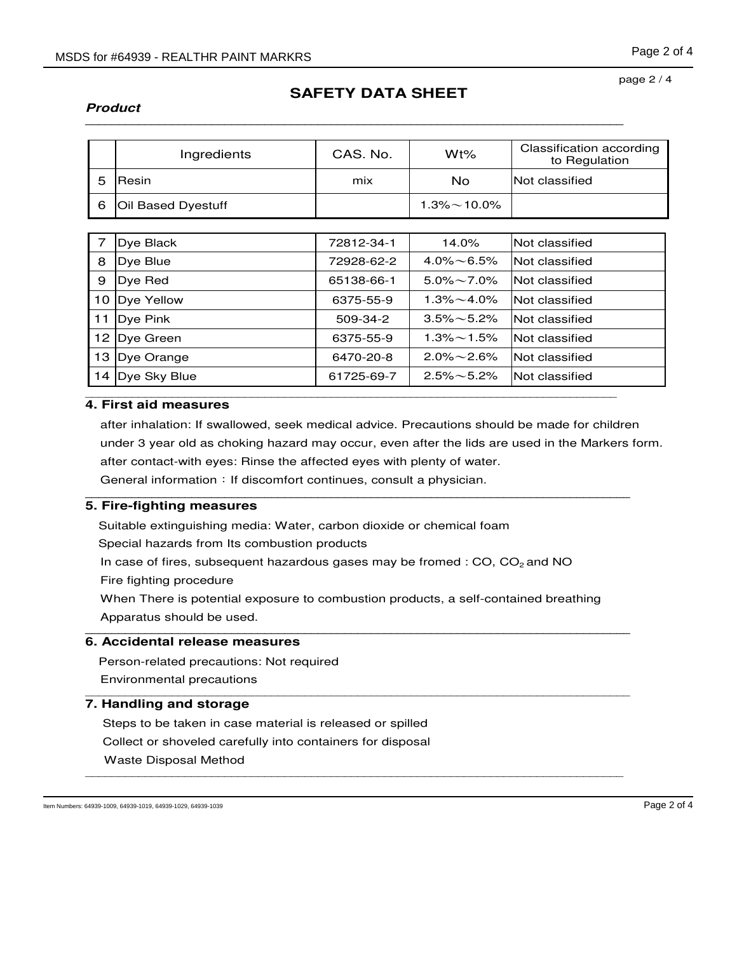### **Product \_\_\_\_\_\_\_\_\_\_\_\_\_\_\_\_\_\_\_\_\_\_\_\_\_\_\_\_\_\_\_\_\_\_\_\_\_\_\_\_\_\_\_\_\_\_\_\_\_\_\_\_\_\_\_\_\_\_\_\_\_\_\_\_\_\_\_\_\_\_\_\_\_\_\_\_\_\_\_\_\_**

# **SAFETY DATA SHEET**

#### page 2 / 4

| Ingredients            | CAS, No. | Wt%                 | Classification according<br>to Regulation |
|------------------------|----------|---------------------|-------------------------------------------|
| Resin                  | mix      | No                  | Not classified                            |
| 6   Oil Based Dyestuff |          | $1.3\% \sim 10.0\%$ |                                           |

|    | Dye Black       | 72812-34-1 | 14.0%              | Not classified |
|----|-----------------|------------|--------------------|----------------|
| 8  | Dye Blue        | 72928-62-2 | $4.0\% \sim 6.5\%$ | Not classified |
| 9  | Dve Red         | 65138-66-1 | $5.0\% \sim 7.0\%$ | Not classified |
| 10 | Dye Yellow      | 6375-55-9  | $1.3\% \sim 4.0\%$ | Not classified |
| 11 | Dye Pink        | 509-34-2   | $3.5\% \sim 5.2\%$ | Not classified |
|    | 12   Dye Green  | 6375-55-9  | $1.3\% \sim 1.5\%$ | Not classified |
| 13 | Dye Orange      | 6470-20-8  | $2.0\% \sim 2.6\%$ | Not classified |
|    | 14 Dye Sky Blue | 61725-69-7 | $2.5\% \sim 5.2\%$ | Not classified |
|    |                 |            |                    |                |

# **4. First aid measures**

after inhalation: If swallowed, seek medical advice. Precautions should be made for children under 3 year old as choking hazard may occur, even after the lids are used in the Markers form. after contact-with eyes: Rinse the affected eyes with plenty of water.

General information: If discomfort continues, consult a physician.

# **5. Fire-fighting measures**

Suitable extinguishing media: Water, carbon dioxide or chemical foam

Special hazards from Its combustion products

In case of fires, subsequent hazardous gases may be fromed :  $CO$ ,  $CO<sub>2</sub>$  and NO

Fire fighting procedure

When There is potential exposure to combustion products, a self-contained breathing Apparatus should be used.

**\_\_\_\_\_\_\_\_\_\_\_\_\_\_\_\_\_\_\_\_\_\_\_\_\_\_\_\_\_\_\_\_\_\_\_\_\_\_\_\_\_\_\_\_\_\_\_\_\_\_\_\_\_\_\_\_\_\_\_\_\_\_\_\_\_\_\_\_\_\_\_\_\_\_\_\_\_\_\_\_\_\_** 

### **\_\_\_\_\_\_\_\_\_\_\_\_\_\_\_\_\_\_\_\_\_\_\_\_\_\_\_\_\_\_\_\_\_\_\_\_\_\_\_\_\_\_\_\_\_\_\_\_\_\_\_\_\_\_\_\_\_\_\_\_\_\_\_\_\_\_\_\_\_\_\_\_\_\_\_\_\_\_\_\_\_\_ 6. Accidental release measures**

Person-related precautions: Not required Environmental precautions \_\_\_\_\_\_\_\_\_\_\_\_\_\_\_\_\_\_\_\_\_\_\_\_\_\_\_\_\_\_\_\_\_\_\_\_\_\_\_\_\_\_\_\_\_\_\_\_\_\_\_\_\_\_\_\_\_\_\_\_\_\_\_\_\_\_\_\_\_\_\_\_\_\_\_\_\_\_\_\_\_\_

# **7. Handling and storage**

Steps to be taken in case material is released or spilled Collect or shoveled carefully into containers for disposal Waste Disposal Method \_\_\_\_\_\_\_\_\_\_\_\_\_\_\_\_\_\_\_\_\_\_\_\_\_\_\_\_\_\_\_\_\_\_\_\_\_\_\_\_\_\_\_\_\_\_\_\_\_\_\_\_\_\_\_\_\_\_\_\_\_\_\_\_\_\_\_\_\_\_\_\_\_\_\_\_\_\_\_\_\_

Item Numbers: 64939-1009, 64939-1019, 64939-1029, 64939-1039 **Page 2 of 4**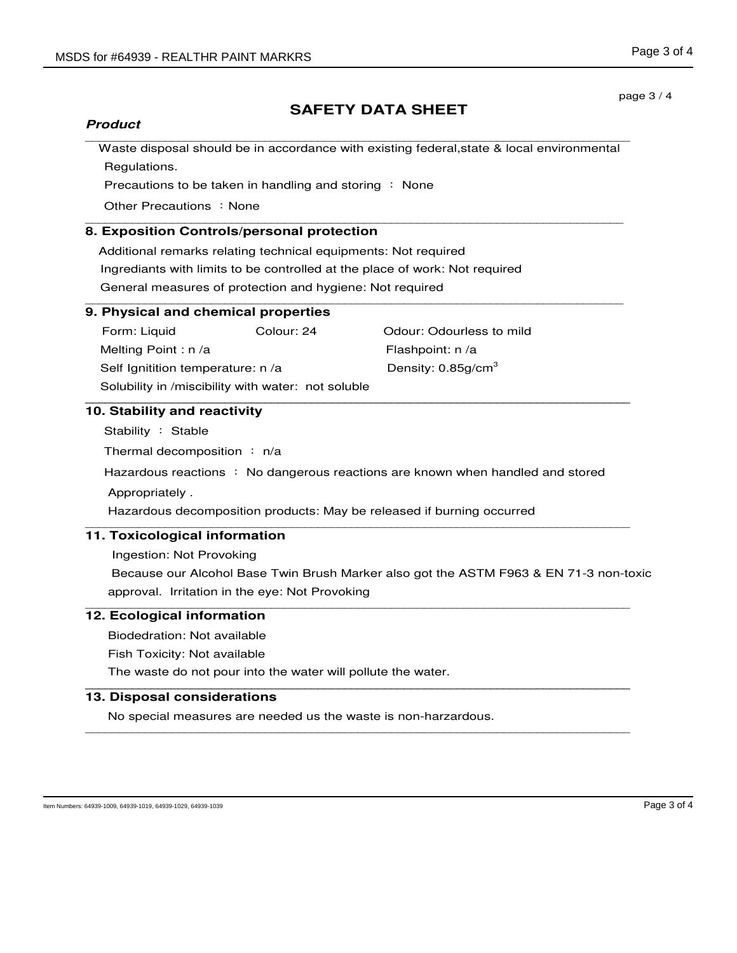page 3 / 4

# **SAFETY DATA SHEET**

## **Product**

\_\_\_\_\_\_\_\_\_\_\_\_\_\_\_\_\_\_\_\_\_\_\_\_\_\_\_\_\_\_\_\_\_\_\_\_\_\_\_\_\_\_\_\_\_\_\_\_\_\_\_\_\_\_\_\_\_\_\_\_\_\_\_\_\_\_\_\_\_\_\_\_\_\_\_\_\_\_\_\_\_\_ Waste disposal should be in accordance with existing federal,state & local environmental Regulations.

Precautions to be taken in handling and storing : None

Other Precautions : None

#### \_\_\_\_\_\_\_\_\_\_\_\_\_\_\_\_\_\_\_\_\_\_\_\_\_\_\_\_\_\_\_\_\_\_\_\_\_\_\_\_\_\_\_\_\_\_\_\_\_\_\_\_\_\_\_\_\_\_\_\_\_\_\_\_\_\_\_\_\_\_\_\_\_\_\_\_\_\_\_\_\_ **8. Exposition Controls/personal protection**

Additional remarks relating technical equipments: Not required Ingrediants with limits to be controlled at the place of work: Not required General measures of protection and hygiene: Not required \_\_\_\_\_\_\_\_\_\_\_\_\_\_\_\_\_\_\_\_\_\_\_\_\_\_\_\_\_\_\_\_\_\_\_\_\_\_\_\_\_\_\_\_\_\_\_\_\_\_\_\_\_\_\_\_\_\_\_\_\_\_\_\_\_\_\_\_\_\_\_\_\_\_\_\_\_\_\_\_\_

## **9. Physical and chemical properties**

Form: Liquid Colour: 24 Odour: Odour! Odourless to mild Melting Point : n /a Flashpoint: n /a Self Ignitition temperature: n /a Density: 0.85g/cm<sup>3</sup> Solubility in /miscibility with water: not soluble

### **\_\_\_\_\_\_\_\_\_\_\_\_\_\_\_\_\_\_\_\_\_\_\_\_\_\_\_\_\_\_\_\_\_\_\_\_\_\_\_\_\_\_\_\_\_\_\_\_\_\_\_\_\_\_\_\_\_\_\_\_\_\_\_\_\_\_\_\_\_\_\_\_\_\_\_\_\_\_\_\_\_\_ 10. Stability and reactivity**

Stability : Stable

Thermal decomposition : n/a

Hazardous reactions : No dangerous reactions are known when handled and stored Appropriately .

Hazardous decomposition products: May be released if burning occurred \_\_\_\_\_\_\_\_\_\_\_\_\_\_\_\_\_\_\_\_\_\_\_\_\_\_\_\_\_\_\_\_\_\_\_\_\_\_\_\_\_\_\_\_\_\_\_\_\_\_\_\_\_\_\_\_\_\_\_\_\_\_\_\_\_\_\_\_\_\_\_\_\_\_\_\_\_\_\_\_\_\_

# **11. Toxicological information**

Ingestion: Not Provoking

Because our Alcohol Base Twin Brush Marker also got the ASTM F963 & EN 71-3 non-toxic approval. Irritation in the eye: Not Provoking \_\_\_\_\_\_\_\_\_\_\_\_\_\_\_\_\_\_\_\_\_\_\_\_\_\_\_\_\_\_\_\_\_\_\_\_\_\_\_\_\_\_\_\_\_\_\_\_\_\_\_\_\_\_\_\_\_\_\_\_\_\_\_\_\_\_\_\_\_\_\_\_\_\_\_\_\_\_\_\_\_\_

## **12. Ecological information**

Biodedration: Not available

Fish Toxicity: Not available

The waste do not pour into the water will pollute the water. **\_\_\_\_\_\_\_\_\_\_\_\_\_\_\_\_\_\_\_\_\_\_\_\_\_\_\_\_\_\_\_\_\_\_\_\_\_\_\_\_\_\_\_\_\_\_\_\_\_\_\_\_\_\_\_\_\_\_\_\_\_\_\_\_\_\_\_\_\_\_\_\_\_\_\_\_\_\_\_\_\_\_** 

## **13. Disposal considerations**

No special measures are needed us the waste is non-harzardous. \_\_\_\_\_\_\_\_\_\_\_\_\_\_\_\_\_\_\_\_\_\_\_\_\_\_\_\_\_\_\_\_\_\_\_\_\_\_\_\_\_\_\_\_\_\_\_\_\_\_\_\_\_\_\_\_\_\_\_\_\_\_\_\_\_\_\_\_\_\_\_\_\_\_\_\_\_\_\_\_\_\_